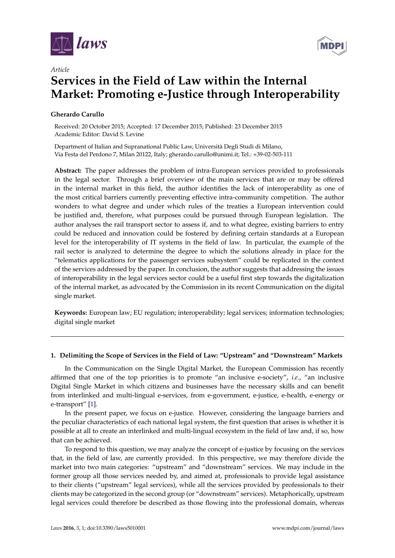



# *Article* **Services in the Field of Law within the Internal Market: Promoting e-Justice through Interoperability**

## **Gherardo Carullo**

Received: 20 October 2015; Accepted: 17 December 2015; Published: 23 December 2015 Academic Editor: David S. Levine

Department of Italian and Supranational Public Law, Università Degli Studi di Milano, Via Festa del Perdono 7, Milan 20122, Italy; gherardo.carullo@unimi.it; Tel.: +39-02-503-111

**Abstract:** The paper addresses the problem of intra-European services provided to professionals in the legal sector. Through a brief overview of the main services that are or may be offered in the internal market in this field, the author identifies the lack of interoperability as one of the most critical barriers currently preventing effective intra-community competition. The author wonders to what degree and under which rules of the treaties a European intervention could be justified and, therefore, what purposes could be pursued through European legislation. The author analyses the rail transport sector to assess if, and to what degree, existing barriers to entry could be reduced and innovation could be fostered by defining certain standards at a European level for the interoperability of IT systems in the field of law. In particular, the example of the rail sector is analyzed to determine the degree to which the solutions already in place for the "telematics applications for the passenger services subsystem" could be replicated in the context of the services addressed by the paper. In conclusion, the author suggests that addressing the issues of interoperability in the legal services sector could be a useful first step towards the digitalization of the internal market, as advocated by the Commission in its recent Communication on the digital single market.

**Keywords:** European law; EU regulation; interoperability; legal services; information technologies; digital single market

## **1. Delimiting the Scope of Services in the Field of Law: "Upstream" and "Downstream" Markets**

In the Communication on the Single Digital Market, the European Commission has recently affirmed that one of the top priorities is to promote "an inclusive e-society", *i.e.*, "an inclusive Digital Single Market in which citizens and businesses have the necessary skills and can benefit from interlinked and multi-lingual e-services, from e-government, e-justice, e-health, e-energy or e-transport" [\[1\]](#page-15-0).

In the present paper, we focus on e-justice. However, considering the language barriers and the peculiar characteristics of each national legal system, the first question that arises is whether it is possible at all to create an interlinked and multi-lingual ecosystem in the field of law and, if so, how that can be achieved.

To respond to this question, we may analyze the concept of e-justice by focusing on the services that, in the field of law, are currently provided. In this perspective, we may therefore divide the market into two main categories: "upstream" and "downstream" services. We may include in the former group all those services needed by, and aimed at, professionals to provide legal assistance to their clients ("upstream" legal services), while all the services provided by professionals to their clients may be categorized in the second group (or "downstream" services). Metaphorically, upstream legal services could therefore be described as those flowing into the professional domain, whereas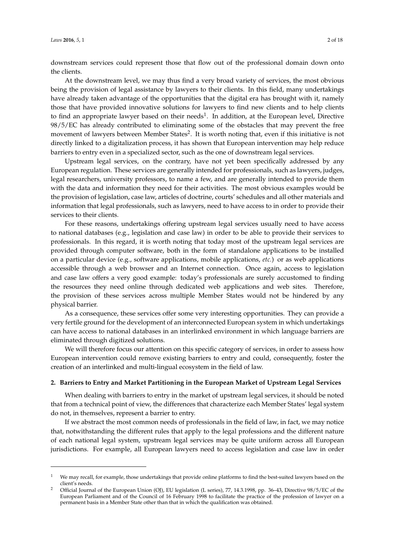downstream services could represent those that flow out of the professional domain down onto the clients.

At the downstream level, we may thus find a very broad variety of services, the most obvious being the provision of legal assistance by lawyers to their clients. In this field, many undertakings have already taken advantage of the opportunities that the digital era has brought with it, namely those that have provided innovative solutions for lawyers to find new clients and to help clients to find an appropriate lawyer based on their needs<sup>1</sup>. In addition, at the European level, Directive 98/5/EC has already contributed to eliminating some of the obstacles that may prevent the free movement of lawyers between Member States<sup>2</sup>. It is worth noting that, even if this initiative is not directly linked to a digitalization process, it has shown that European intervention may help reduce barriers to entry even in a specialized sector, such as the one of downstream legal services.

Upstream legal services, on the contrary, have not yet been specifically addressed by any European regulation. These services are generally intended for professionals, such as lawyers, judges, legal researchers, university professors, to name a few, and are generally intended to provide them with the data and information they need for their activities. The most obvious examples would be the provision of legislation, case law, articles of doctrine, courts' schedules and all other materials and information that legal professionals, such as lawyers, need to have access to in order to provide their services to their clients.

For these reasons, undertakings offering upstream legal services usually need to have access to national databases (e.g., legislation and case law) in order to be able to provide their services to professionals. In this regard, it is worth noting that today most of the upstream legal services are provided through computer software, both in the form of standalone applications to be installed on a particular device (e.g., software applications, mobile applications, *etc.*) or as web applications accessible through a web browser and an Internet connection. Once again, access to legislation and case law offers a very good example: today's professionals are surely accustomed to finding the resources they need online through dedicated web applications and web sites. Therefore, the provision of these services across multiple Member States would not be hindered by any physical barrier.

As a consequence, these services offer some very interesting opportunities. They can provide a very fertile ground for the development of an interconnected European system in which undertakings can have access to national databases in an interlinked environment in which language barriers are eliminated through digitized solutions.

We will therefore focus our attention on this specific category of services, in order to assess how European intervention could remove existing barriers to entry and could, consequently, foster the creation of an interlinked and multi-lingual ecosystem in the field of law.

#### **2. Barriers to Entry and Market Partitioning in the European Market of Upstream Legal Services**

When dealing with barriers to entry in the market of upstream legal services, it should be noted that from a technical point of view, the differences that characterize each Member States' legal system do not, in themselves, represent a barrier to entry.

If we abstract the most common needs of professionals in the field of law, in fact, we may notice that, notwithstanding the different rules that apply to the legal professions and the different nature of each national legal system, upstream legal services may be quite uniform across all European jurisdictions. For example, all European lawyers need to access legislation and case law in order

We may recall, for example, those undertakings that provide online platforms to find the best-suited lawyers based on the client's needs.

<sup>2</sup> Official Journal of the European Union (OJ), EU legislation (L series), 77, 14.3.1998, pp. 36–43, Directive 98/5/EC of the European Parliament and of the Council of 16 February 1998 to facilitate the practice of the profession of lawyer on a permanent basis in a Member State other than that in which the qualification was obtained.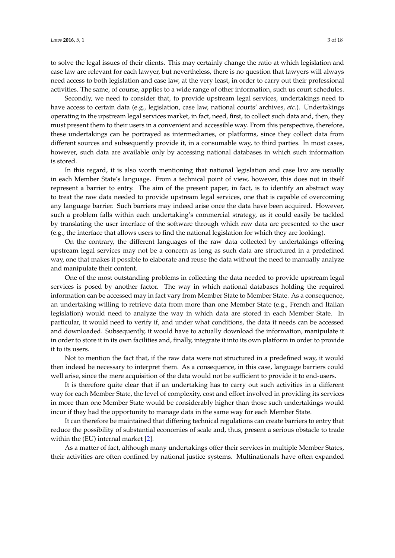to solve the legal issues of their clients. This may certainly change the ratio at which legislation and case law are relevant for each lawyer, but nevertheless, there is no question that lawyers will always need access to both legislation and case law, at the very least, in order to carry out their professional activities. The same, of course, applies to a wide range of other information, such us court schedules.

Secondly, we need to consider that, to provide upstream legal services, undertakings need to have access to certain data (e.g., legislation, case law, national courts' archives, *etc.*). Undertakings operating in the upstream legal services market, in fact, need, first, to collect such data and, then, they must present them to their users in a convenient and accessible way. From this perspective, therefore, these undertakings can be portrayed as intermediaries, or platforms, since they collect data from different sources and subsequently provide it, in a consumable way, to third parties. In most cases, however, such data are available only by accessing national databases in which such information is stored.

In this regard, it is also worth mentioning that national legislation and case law are usually in each Member State's language. From a technical point of view, however, this does not in itself represent a barrier to entry. The aim of the present paper, in fact, is to identify an abstract way to treat the raw data needed to provide upstream legal services, one that is capable of overcoming any language barrier. Such barriers may indeed arise once the data have been acquired. However, such a problem falls within each undertaking's commercial strategy, as it could easily be tackled by translating the user interface of the software through which raw data are presented to the user (e.g., the interface that allows users to find the national legislation for which they are looking).

On the contrary, the different languages of the raw data collected by undertakings offering upstream legal services may not be a concern as long as such data are structured in a predefined way, one that makes it possible to elaborate and reuse the data without the need to manually analyze and manipulate their content.

One of the most outstanding problems in collecting the data needed to provide upstream legal services is posed by another factor. The way in which national databases holding the required information can be accessed may in fact vary from Member State to Member State. As a consequence, an undertaking willing to retrieve data from more than one Member State (e.g., French and Italian legislation) would need to analyze the way in which data are stored in each Member State. In particular, it would need to verify if, and under what conditions, the data it needs can be accessed and downloaded. Subsequently, it would have to actually download the information, manipulate it in order to store it in its own facilities and, finally, integrate it into its own platform in order to provide it to its users.

Not to mention the fact that, if the raw data were not structured in a predefined way, it would then indeed be necessary to interpret them. As a consequence, in this case, language barriers could well arise, since the mere acquisition of the data would not be sufficient to provide it to end-users.

It is therefore quite clear that if an undertaking has to carry out such activities in a different way for each Member State, the level of complexity, cost and effort involved in providing its services in more than one Member State would be considerably higher than those such undertakings would incur if they had the opportunity to manage data in the same way for each Member State.

It can therefore be maintained that differing technical regulations can create barriers to entry that reduce the possibility of substantial economies of scale and, thus, present a serious obstacle to trade within the (EU) internal market [\[2\]](#page-15-1).

As a matter of fact, although many undertakings offer their services in multiple Member States, their activities are often confined by national justice systems. Multinationals have often expanded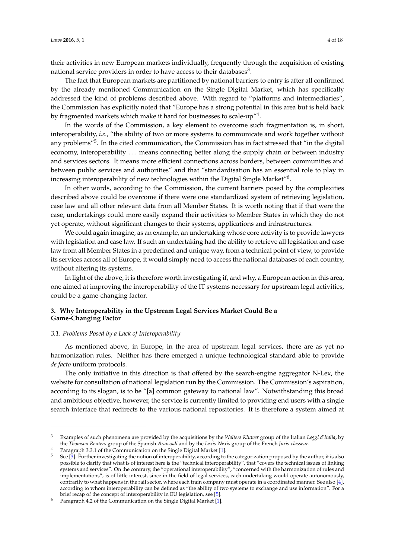their activities in new European markets individually, frequently through the acquisition of existing national service providers in order to have access to their databases $^3.$ 

The fact that European markets are partitioned by national barriers to entry is after all confirmed by the already mentioned Communication on the Single Digital Market, which has specifically addressed the kind of problems described above. With regard to "platforms and intermediaries", the Commission has explicitly noted that "Europe has a strong potential in this area but is held back by fragmented markets which make it hard for businesses to scale-up″<sup>4</sup>.

In the words of the Commission, a key element to overcome such fragmentation is, in short, interoperability, *i.e.*, "the ability of two or more systems to communicate and work together without any problems"<sup>5</sup>. In the cited communication, the Commission has in fact stressed that "in the digital economy, interoperability ... means connecting better along the supply chain or between industry and services sectors. It means more efficient connections across borders, between communities and between public services and authorities" and that "standardisation has an essential role to play in increasing interoperability of new technologies within the Digital Single Market"<sup>6</sup>.

In other words, according to the Commission, the current barriers posed by the complexities described above could be overcome if there were one standardized system of retrieving legislation, case law and all other relevant data from all Member States. It is worth noting that if that were the case, undertakings could more easily expand their activities to Member States in which they do not yet operate, without significant changes to their systems, applications and infrastructures.

We could again imagine, as an example, an undertaking whose core activity is to provide lawyers with legislation and case law. If such an undertaking had the ability to retrieve all legislation and case law from all Member States in a predefined and unique way, from a technical point of view, to provide its services across all of Europe, it would simply need to access the national databases of each country, without altering its systems.

In light of the above, it is therefore worth investigating if, and why, a European action in this area, one aimed at improving the interoperability of the IT systems necessary for upstream legal activities, could be a game-changing factor.

## **3. Why Interoperability in the Upstream Legal Services Market Could Be a Game-Changing Factor**

#### *3.1. Problems Posed by a Lack of Interoperability*

As mentioned above, in Europe, in the area of upstream legal services, there are as yet no harmonization rules. Neither has there emerged a unique technological standard able to provide *de facto* uniform protocols.

The only initiative in this direction is that offered by the search-engine aggregator N-Lex, the website for consultation of national legislation run by the Commission. The Commission's aspiration, according to its slogan, is to be "[a] common gateway to national law". Notwithstanding this broad and ambitious objective, however, the service is currently limited to providing end users with a single search interface that redirects to the various national repositories. It is therefore a system aimed at

<sup>3</sup> Examples of such phenomena are provided by the acquisitions by the *Wolters Kluwer* group of the Italian *Leggi d'Italia*, by the *Thomson Reuters* group of the Spanish *Aranzadi* and by the *Lexis-Nexis* group of the French *Juris-classeur*.

Paragraph 3.3.1 of the Communication on the Single Digital Market [\[1\]](#page-15-0).

<sup>5</sup> See [\[3\]](#page-15-2). Further investigating the notion of interoperability, according to the categorization proposed by the author, it is also possible to clarify that what is of interest here is the "technical interoperability", that "covers the technical issues of linking systems and services". On the contrary, the "operational interoperability", "concerned with the harmonization of rules and implementations", is of little interest, since in the field of legal services, each undertaking would operate autonomously, contrarily to what happens in the rail sector, where each train company must operate in a coordinated manner. See also [\[4\]](#page-15-3), according to whom interoperability can be defined as "the ability of two systems to exchange and use information". For a brief recap of the concept of interoperability in EU legislation, see [\[5\]](#page-15-4).

Faragraph 4.2 of the Communication on the Single Digital Market [\[1\]](#page-15-0).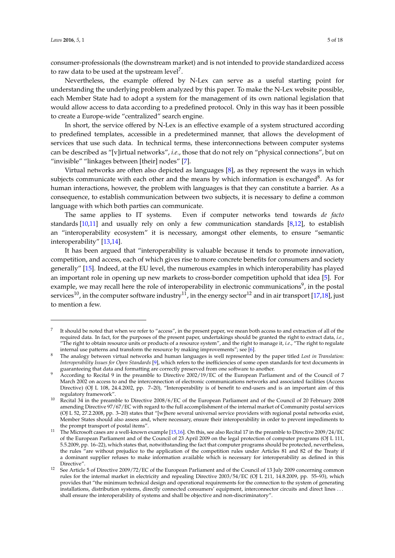consumer-professionals (the downstream market) and is not intended to provide standardized access to raw data to be used at the upstream  $level^7$ .

Nevertheless, the example offered by N-Lex can serve as a useful starting point for understanding the underlying problem analyzed by this paper. To make the N-Lex website possible, each Member State had to adopt a system for the management of its own national legislation that would allow access to data according to a predefined protocol. Only in this way has it been possible to create a Europe-wide "centralized" search engine.

In short, the service offered by N-Lex is an effective example of a system structured according to predefined templates, accessible in a predetermined manner, that allows the development of services that use such data. In technical terms, these interconnections between computer systems can be described as "[v]irtual networks", *i.e*., those that do not rely on "physical connections", but on "invisible" "linkages between [their] nodes" [\[7\]](#page-15-5).

Virtual networks are often also depicted as languages [\[8\]](#page-15-6), as they represent the ways in which subjects communicate with each other and the means by which information is exchanged<sup>8</sup>. As for human interactions, however, the problem with languages is that they can constitute a barrier. As a consequence, to establish communication between two subjects, it is necessary to define a common language with which both parties can communicate.

The same applies to IT systems. Even if computer networks tend towards *de facto* standards  $[10,11]$  $[10,11]$  and usually rely on only a few communication standards  $[8,12]$  $[8,12]$ , to establish an "interoperability ecosystem" it is necessary, amongst other elements, to ensure "semantic interoperability" [\[13](#page-16-3)[,14\]](#page-16-4).

It has been argued that "interoperability is valuable because it tends to promote innovation, competition, and access, each of which gives rise to more concrete benefits for consumers and society generally" [\[15\]](#page-16-5). Indeed, at the EU level, the numerous examples in which interoperability has played an important role in opening up new markets to cross-border competition uphold that idea [\[5\]](#page-15-4). For example, we may recall here the role of interoperability in electronic communications<sup>9</sup>, in the postal services<sup>10</sup>, in the computer software industry<sup>11</sup>, in the energy sector<sup>12</sup> and in air transport [\[17](#page-16-6)[,18\]](#page-16-7), just to mention a few.

<sup>7</sup> It should be noted that when we refer to "access", in the present paper, we mean both access to and extraction of all of the required data. In fact, for the purposes of the present paper, undertakings should be granted the right to extract data, *i.e.*, "The right to obtain resource units or products of a resource system", and the right to manage it, *i.e*., "The right to regulate internal use patterns and transform the resource by making improvements"; see [\[6\]](#page-15-7).

<sup>8</sup> The analogy between virtual networks and human languages is well represented by the paper titled *Lost in Translation: Interoperability Issues for Open Standards* [\[9\]](#page-16-8), which refers to the inefficiencies of some open standards for text documents in guaranteeing that data and formatting are correctly preserved from one software to another.

<sup>9</sup> According to Recital 9 in the preamble to Directive 2002/19/EC of the European Parliament and of the Council of 7 March 2002 on access to and the interconnection of electronic communications networks and associated facilities (Access Directive) (OJ L 108, 24.4.2002, pp. 7–20), "Interoperability is of benefit to end-users and is an important aim of this regulatory framework".

<sup>&</sup>lt;sup>10</sup> Recital 34 in the preamble to Directive 2008/6/EC of the European Parliament and of the Council of 20 February 2008 amending Directive 97/67/EC with regard to the full accomplishment of the internal market of Community postal services (OJ L 52, 27.2.2008, pp. 3–20) states that "[w]here several universal service providers with regional postal networks exist, Member States should also assess and, where necessary, ensure their interoperability in order to prevent impediments to the prompt transport of postal items".

<sup>&</sup>lt;sup>11</sup> The Microsoft cases are a well-known example [\[15,](#page-16-5)[16\]](#page-16-9). On this, see also Recital 17 in the preamble to Directive 2009/24/EC of the European Parliament and of the Council of 23 April 2009 on the legal protection of computer programs (OJ L 111, 5.5.2009, pp. 16–22), which states that, notwithstanding the fact that computer programs should be protected, nevertheless, the rules "are without prejudice to the application of the competition rules under Articles 81 and 82 of the Treaty if a dominant supplier refuses to make information available which is necessary for interoperability as defined in this Directive".

<sup>&</sup>lt;sup>12</sup> See Article 5 of Directive 2009/72/EC of the European Parliament and of the Council of 13 July 2009 concerning common rules for the internal market in electricity and repealing Directive 2003/54/EC (OJ L 211, 14.8.2009, pp. 55–93), which provides that "the minimum technical design and operational requirements for the connection to the system of generating installations, distribution systems, directly connected consumers' equipment, interconnector circuits and direct lines . . . shall ensure the interoperability of systems and shall be objective and non-discriminatory".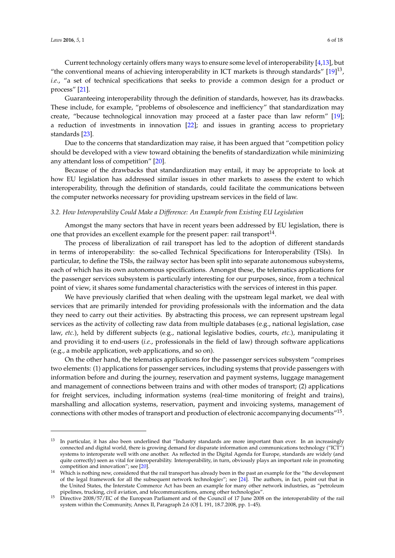Current technology certainly offers many ways to ensure some level of interoperability [\[4,](#page-15-3)[13\]](#page-16-3), but "the conventional means of achieving interoperability in ICT markets is through standards"  $[19]^{13}$  $[19]^{13}$ , *i.e.*, "a set of technical specifications that seeks to provide a common design for a product or process" [\[21\]](#page-16-11).

Guaranteeing interoperability through the definition of standards, however, has its drawbacks. These include, for example, "problems of obsolescence and inefficiency" that standardization may create, "because technological innovation may proceed at a faster pace than law reform" [\[19\]](#page-16-10); a reduction of investments in innovation [\[22\]](#page-16-12); and issues in granting access to proprietary standards [\[23\]](#page-16-13).

Due to the concerns that standardization may raise, it has been argued that "competition policy should be developed with a view toward obtaining the benefits of standardization while minimizing any attendant loss of competition" [\[20\]](#page-16-14).

Because of the drawbacks that standardization may entail, it may be appropriate to look at how EU legislation has addressed similar issues in other markets to assess the extent to which interoperability, through the definition of standards, could facilitate the communications between the computer networks necessary for providing upstream services in the field of law.

#### *3.2. How Interoperability Could Make a Difference: An Example from Existing EU Legislation*

Amongst the many sectors that have in recent years been addressed by EU legislation, there is one that provides an excellent example for the present paper: rail transport<sup>14</sup>.

The process of liberalization of rail transport has led to the adoption of different standards in terms of interoperability: the so-called Technical Specifications for Interoperability (TSIs). In particular, to define the TSIs, the railway sector has been split into separate autonomous subsystems, each of which has its own autonomous specifications. Amongst these, the telematics applications for the passenger services subsystem is particularly interesting for our purposes, since, from a technical point of view, it shares some fundamental characteristics with the services of interest in this paper.

We have previously clarified that when dealing with the upstream legal market, we deal with services that are primarily intended for providing professionals with the information and the data they need to carry out their activities. By abstracting this process, we can represent upstream legal services as the activity of collecting raw data from multiple databases (e.g., national legislation, case law, *etc.*), held by different subjects (e.g., national legislative bodies, courts, *etc.*), manipulating it and providing it to end-users (*i.e.*, professionals in the field of law) through software applications (e.g., a mobile application, web applications, and so on).

On the other hand, the telematics applications for the passenger services subsystem "comprises two elements: (1) applications for passenger services, including systems that provide passengers with information before and during the journey, reservation and payment systems, luggage management and management of connections between trains and with other modes of transport; (2) applications for freight services, including information systems (real-time monitoring of freight and trains), marshalling and allocation systems, reservation, payment and invoicing systems, management of connections with other modes of transport and production of electronic accompanying documents" $^{15}$ .

 $13$  In particular, it has also been underlined that "Industry standards are more important than ever. In an increasingly connected and digital world, there is growing demand for disparate information and communications technology ("ICT") systems to interoperate well with one another. As reflected in the Digital Agenda for Europe, standards are widely (and quite correctly) seen as vital for interoperability. Interoperability, in turn, obviously plays an important role in promoting competition and innovation"; see [\[20\]](#page-16-14).

Which is nothing new, considered that the rail transport has already been in the past an example for the "the development of the legal framework for all the subsequent network technologie*s*"; see [\[24\]](#page-16-15). The authors, in fact, point out that in the United States, the Interstate Commerce Act has been an example for many other network industries, as "petroleum pipelines, trucking, civil aviation, and telecommunications, among other technologies".

<sup>15</sup> Directive 2008/57/EC of the European Parliament and of the Council of 17 June 2008 on the interoperability of the rail system within the Community, Annex II, Paragraph 2.6 (OJ L 191, 18.7.2008, pp. 1–45).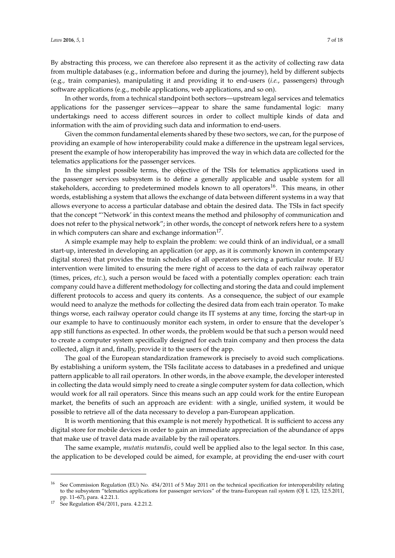By abstracting this process, we can therefore also represent it as the activity of collecting raw data from multiple databases (e.g., information before and during the journey), held by different subjects (e.g., train companies), manipulating it and providing it to end-users (*i.e.*, passengers) through software applications (e.g., mobile applications, web applications, and so on).

In other words, from a technical standpoint both sectors—upstream legal services and telematics applications for the passenger services—appear to share the same fundamental logic: many undertakings need to access different sources in order to collect multiple kinds of data and information with the aim of providing such data and information to end-users.

Given the common fundamental elements shared by these two sectors, we can, for the purpose of providing an example of how interoperability could make a difference in the upstream legal services, present the example of how interoperability has improved the way in which data are collected for the telematics applications for the passenger services.

In the simplest possible terms, the objective of the TSIs for telematics applications used in the passenger services subsystem is to define a generally applicable and usable system for all stakeholders, according to predetermined models known to all operators<sup>16</sup>. This means, in other words, establishing a system that allows the exchange of data between different systems in a way that allows everyone to access a particular database and obtain the desired data. The TSIs in fact specify that the concept "'Network' in this context means the method and philosophy of communication and does not refer to the physical network"; in other words, the concept of network refers here to a system in which computers can share and exchange information $^{17}$ .

A simple example may help to explain the problem: we could think of an individual, or a small start-up, interested in developing an application (or app, as it is commonly known in contemporary digital stores) that provides the train schedules of all operators servicing a particular route. If EU intervention were limited to ensuring the mere right of access to the data of each railway operator (times, prices, *etc.*), such a person would be faced with a potentially complex operation: each train company could have a different methodology for collecting and storing the data and could implement different protocols to access and query its contents. As a consequence, the subject of our example would need to analyze the methods for collecting the desired data from each train operator. To make things worse, each railway operator could change its IT systems at any time, forcing the start-up in our example to have to continuously monitor each system, in order to ensure that the developer's app still functions as expected. In other words, the problem would be that such a person would need to create a computer system specifically designed for each train company and then process the data collected, align it and, finally, provide it to the users of the app.

The goal of the European standardization framework is precisely to avoid such complications. By establishing a uniform system, the TSIs facilitate access to databases in a predefined and unique pattern applicable to all rail operators. In other words, in the above example, the developer interested in collecting the data would simply need to create a single computer system for data collection, which would work for all rail operators. Since this means such an app could work for the entire European market, the benefits of such an approach are evident: with a single, unified system, it would be possible to retrieve all of the data necessary to develop a pan-European application.

It is worth mentioning that this example is not merely hypothetical. It is sufficient to access any digital store for mobile devices in order to gain an immediate appreciation of the abundance of apps that make use of travel data made available by the rail operators.

The same example, *mutatis mutandis*, could well be applied also to the legal sector. In this case, the application to be developed could be aimed, for example, at providing the end-user with court

<sup>16</sup> See Commission Regulation (EU) No. 454/2011 of 5 May 2011 on the technical specification for interoperability relating to the subsystem "telematics applications for passenger services" of the trans-European rail system (OJ L 123, 12.5.2011, pp. 11–67), para. 4.2.21.1.

<sup>&</sup>lt;sup>17</sup> See Regulation 454/2011, para. 4.2.21.2.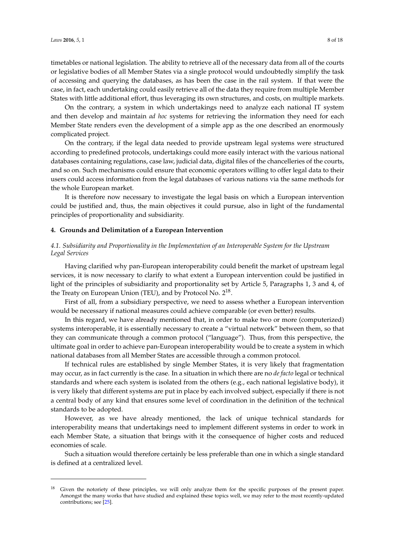timetables or national legislation. The ability to retrieve all of the necessary data from all of the courts or legislative bodies of all Member States via a single protocol would undoubtedly simplify the task of accessing and querying the databases, as has been the case in the rail system. If that were the case, in fact, each undertaking could easily retrieve all of the data they require from multiple Member States with little additional effort, thus leveraging its own structures, and costs, on multiple markets.

On the contrary, a system in which undertakings need to analyze each national IT system and then develop and maintain *ad hoc* systems for retrieving the information they need for each Member State renders even the development of a simple app as the one described an enormously complicated project.

On the contrary, if the legal data needed to provide upstream legal systems were structured according to predefined protocols, undertakings could more easily interact with the various national databases containing regulations, case law, judicial data, digital files of the chancelleries of the courts, and so on. Such mechanisms could ensure that economic operators willing to offer legal data to their users could access information from the legal databases of various nations via the same methods for the whole European market.

It is therefore now necessary to investigate the legal basis on which a European intervention could be justified and, thus, the main objectives it could pursue, also in light of the fundamental principles of proportionality and subsidiarity.

#### **4. Grounds and Delimitation of a European Intervention**

## *4.1. Subsidiarity and Proportionality in the Implementation of an Interoperable System for the Upstream Legal Services*

Having clarified why pan-European interoperability could benefit the market of upstream legal services, it is now necessary to clarify to what extent a European intervention could be justified in light of the principles of subsidiarity and proportionality set by Article 5, Paragraphs 1, 3 and 4, of the Treaty on European Union (TEU), and by Protocol No.  $2^{18}$ .

First of all, from a subsidiary perspective, we need to assess whether a European intervention would be necessary if national measures could achieve comparable (or even better) results.

In this regard, we have already mentioned that, in order to make two or more (computerized) systems interoperable, it is essentially necessary to create a "virtual network" between them, so that they can communicate through a common protocol ("language"). Thus, from this perspective, the ultimate goal in order to achieve pan-European interoperability would be to create a system in which national databases from all Member States are accessible through a common protocol.

If technical rules are established by single Member States, it is very likely that fragmentation may occur, as in fact currently is the case. In a situation in which there are no *de facto* legal or technical standards and where each system is isolated from the others (e.g., each national legislative body), it is very likely that different systems are put in place by each involved subject, especially if there is not a central body of any kind that ensures some level of coordination in the definition of the technical standards to be adopted.

However, as we have already mentioned, the lack of unique technical standards for interoperability means that undertakings need to implement different systems in order to work in each Member State, a situation that brings with it the consequence of higher costs and reduced economies of scale.

Such a situation would therefore certainly be less preferable than one in which a single standard is defined at a centralized level.

<sup>&</sup>lt;sup>18</sup> Given the notoriety of these principles, we will only analyze them for the specific purposes of the present paper. Amongst the many works that have studied and explained these topics well, we may refer to the most recently-updated contributions; see [\[25\]](#page-16-16).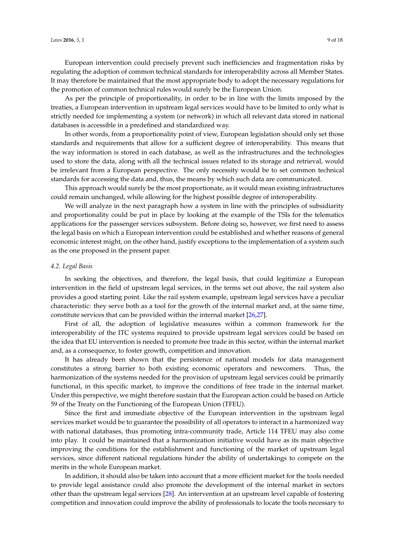European intervention could precisely prevent such inefficiencies and fragmentation risks by regulating the adoption of common technical standards for interoperability across all Member States. It may therefore be maintained that the most appropriate body to adopt the necessary regulations for the promotion of common technical rules would surely be the European Union.

As per the principle of proportionality, in order to be in line with the limits imposed by the treaties, a European intervention in upstream legal services would have to be limited to only what is strictly needed for implementing a system (or network) in which all relevant data stored in national databases is accessible in a predefined and standardized way.

In other words, from a proportionality point of view, European legislation should only set those standards and requirements that allow for a sufficient degree of interoperability. This means that the way information is stored in each database, as well as the infrastructures and the technologies used to store the data, along with all the technical issues related to its storage and retrieval, would be irrelevant from a European perspective. The only necessity would be to set common technical standards for accessing the data and, thus, the means by which such data are communicated.

This approach would surely be the most proportionate, as it would mean existing infrastructures could remain unchanged, while allowing for the highest possible degree of interoperability.

We will analyze in the next paragraph how a system in line with the principles of subsidiarity and proportionality could be put in place by looking at the example of the TSIs for the telematics applications for the passenger services subsystem. Before doing so, however, we first need to assess the legal basis on which a European intervention could be established and whether reasons of general economic interest might, on the other hand, justify exceptions to the implementation of a system such as the one proposed in the present paper.

#### *4.2. Legal Basis*

In seeking the objectives, and therefore, the legal basis, that could legitimize a European intervention in the field of upstream legal services, in the terms set out above, the rail system also provides a good starting point. Like the rail system example, upstream legal services have a peculiar characteristic: they serve both as a tool for the growth of the internal market and, at the same time, constitute services that can be provided within the internal market [\[26,](#page-16-17)[27\]](#page-16-18).

First of all, the adoption of legislative measures within a common framework for the interoperability of the ITC systems required to provide upstream legal services could be based on the idea that EU intervention is needed to promote free trade in this sector, within the internal market and, as a consequence, to foster growth, competition and innovation.

It has already been shown that the persistence of national models for data management constitutes a strong barrier to both existing economic operators and newcomers. Thus, the harmonization of the systems needed for the provision of upstream legal services could be primarily functional, in this specific market, to improve the conditions of free trade in the internal market. Under this perspective, we might therefore sustain that the European action could be based on Article 59 of the Treaty on the Functioning of the European Union (TFEU).

Since the first and immediate objective of the European intervention in the upstream legal services market would be to guarantee the possibility of all operators to interact in a harmonized way with national databases, thus promoting intra-community trade, Article 114 TFEU may also come into play. It could be maintained that a harmonization initiative would have as its main objective improving the conditions for the establishment and functioning of the market of upstream legal services, since different national regulations hinder the ability of undertakings to compete on the merits in the whole European market.

In addition, it should also be taken into account that a more efficient market for the tools needed to provide legal assistance could also promote the development of the internal market in sectors other than the upstream legal services [\[28\]](#page-16-19). An intervention at an upstream level capable of fostering competition and innovation could improve the ability of professionals to locate the tools necessary to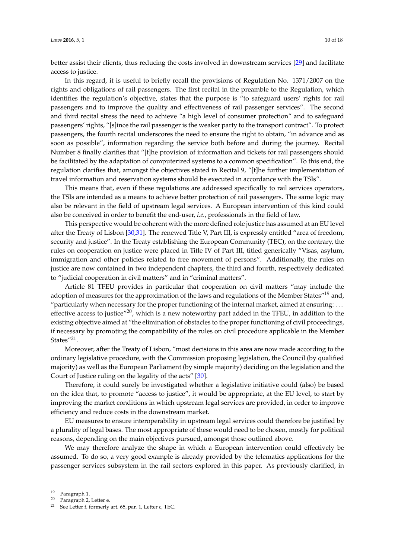better assist their clients, thus reducing the costs involved in downstream services [\[29\]](#page-16-20) and facilitate access to justice.

In this regard, it is useful to briefly recall the provisions of Regulation No. 1371/2007 on the rights and obligations of rail passengers. The first recital in the preamble to the Regulation, which identifies the regulation's objective, states that the purpose is "to safeguard users' rights for rail passengers and to improve the quality and effectiveness of rail passenger services". The second and third recital stress the need to achieve "a high level of consumer protection" and to safeguard passengers' rights, "[s]ince the rail passenger is the weaker party to the transport contract". To protect passengers, the fourth recital underscores the need to ensure the right to obtain, "in advance and as soon as possible", information regarding the service both before and during the journey. Recital Number 8 finally clarifies that "[t]he provision of information and tickets for rail passengers should be facilitated by the adaptation of computerized systems to a common specification". To this end, the regulation clarifies that, amongst the objectives stated in Recital 9, "[t]he further implementation of travel information and reservation systems should be executed in accordance with the TSIs".

This means that, even if these regulations are addressed specifically to rail services operators, the TSIs are intended as a means to achieve better protection of rail passengers. The same logic may also be relevant in the field of upstream legal services. A European intervention of this kind could also be conceived in order to benefit the end-user, *i.e.*, professionals in the field of law.

This perspective would be coherent with the more defined role justice has assumed at an EU level after the Treaty of Lisbon [\[30,](#page-16-21)[31\]](#page-16-22). The renewed Title V, Part III, is expressly entitled "area of freedom, security and justice". In the Treaty establishing the European Community (TEC), on the contrary, the rules on cooperation on justice were placed in Title IV of Part III, titled generically "Visas, asylum, immigration and other policies related to free movement of persons". Additionally, the rules on justice are now contained in two independent chapters, the third and fourth, respectively dedicated to "judicial cooperation in civil matters" and in "criminal matters".

Article 81 TFEU provides in particular that cooperation on civil matters "may include the adoption of measures for the approximation of the laws and regulations of the Member States<sup>"19</sup> and, "particularly when necessary for the proper functioning of the internal market, aimed at ensuring: ... effective access to justice"<sup>20</sup>, which is a new noteworthy part added in the TFEU, in addition to the existing objective aimed at "the elimination of obstacles to the proper functioning of civil proceedings, if necessary by promoting the compatibility of the rules on civil procedure applicable in the Member States"<sup>21</sup>.

Moreover, after the Treaty of Lisbon, "most decisions in this area are now made according to the ordinary legislative procedure, with the Commission proposing legislation, the Council (by qualified majority) as well as the European Parliament (by simple majority) deciding on the legislation and the Court of Justice ruling on the legality of the acts" [\[30\]](#page-16-21).

Therefore, it could surely be investigated whether a legislative initiative could (also) be based on the idea that, to promote "access to justice", it would be appropriate, at the EU level, to start by improving the market conditions in which upstream legal services are provided, in order to improve efficiency and reduce costs in the downstream market.

EU measures to ensure interoperability in upstream legal services could therefore be justified by a plurality of legal bases. The most appropriate of these would need to be chosen, mostly for political reasons, depending on the main objectives pursued, amongst those outlined above.

We may therefore analyze the shape in which a European intervention could effectively be assumed. To do so, a very good example is already provided by the telematics applications for the passenger services subsystem in the rail sectors explored in this paper. As previously clarified, in

<sup>19</sup> Paragraph 1.

<sup>20</sup> Paragraph 2, Letter e.

<sup>21</sup> See Letter f, formerly art. 65, par. 1, Letter c, TEC.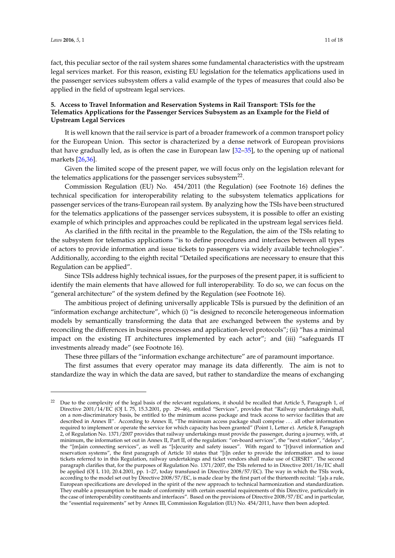fact, this peculiar sector of the rail system shares some fundamental characteristics with the upstream legal services market. For this reason, existing EU legislation for the telematics applications used in the passenger services subsystem offers a valid example of the types of measures that could also be applied in the field of upstream legal services.

## **5. Access to Travel Information and Reservation Systems in Rail Transport: TSIs for the Telematics Applications for the Passenger Services Subsystem as an Example for the Field of Upstream Legal Services**

It is well known that the rail service is part of a broader framework of a common transport policy for the European Union. This sector is characterized by a dense network of European provisions that have gradually led, as is often the case in European law [\[32–](#page-16-23)[35\]](#page-16-24), to the opening up of national markets [\[26](#page-16-17)[,36\]](#page-17-0).

Given the limited scope of the present paper, we will focus only on the legislation relevant for the telematics applications for the passenger services subsystem<sup>22</sup>.

Commission Regulation (EU) No. 454/2011 (the Regulation) (see Footnote 16) defines the technical specification for interoperability relating to the subsystem telematics applications for passenger services of the trans-European rail system. By analyzing how the TSIs have been structured for the telematics applications of the passenger services subsystem, it is possible to offer an existing example of which principles and approaches could be replicated in the upstream legal services field.

As clarified in the fifth recital in the preamble to the Regulation, the aim of the TSIs relating to the subsystem for telematics applications "is to define procedures and interfaces between all types of actors to provide information and issue tickets to passengers via widely available technologies". Additionally, according to the eighth recital "Detailed specifications are necessary to ensure that this Regulation can be applied".

Since TSIs address highly technical issues, for the purposes of the present paper, it is sufficient to identify the main elements that have allowed for full interoperability. To do so, we can focus on the "general architecture" of the system defined by the Regulation (see Footnote 16).

The ambitious project of defining universally applicable TSIs is pursued by the definition of an "information exchange architecture", which (i) "is designed to reconcile heterogeneous information models by semantically transforming the data that are exchanged between the systems and by reconciling the differences in business processes and application-level protocols"; (ii) "has a minimal impact on the existing IT architectures implemented by each actor"; and (iii) "safeguards IT investments already made" (see Footnote 16).

These three pillars of the "information exchange architecture" are of paramount importance.

The first assumes that every operator may manage its data differently. The aim is not to standardize the way in which the data are saved, but rather to standardize the means of exchanging

<sup>22</sup> Due to the complexity of the legal basis of the relevant regulations, it should be recalled that Article 5, Paragraph 1, of Directive 2001/14/EC (OJ L 75, 15.3.2001, pp. 29–46), entitled "Services", provides that "Railway undertakings shall, on a non-discriminatory basis, be entitled to the minimum access package and track access to service facilities that are described in Annex II". According to Annex II, "The minimum access package shall comprise . . . all other information required to implement or operate the service for which capacity has been granted" (Point 1, Letter e). Article 8, Paragraph 2, of Regulation No. 1371/2007 provides that railway undertakings must provide the passenger, during a journey, with, at minimum, the information set out in Annex II, Part II, of the regulation: "on-board services", the "next station", "delays", the "[m]ain connecting services", as well as "[s]ecurity and safety issues". With regard to "[t]ravel information and reservation systems", the first paragraph of Article 10 states that "[i]n order to provide the information and to issue tickets referred to in this Regulation, railway undertakings and ticket vendors shall make use of CIRSRT". The second paragraph clarifies that, for the purposes of Regulation No. 1371/2007, the TSIs referred to in Directive 2001/16/EC shall be applied (OJ L 110, 20.4.2001, pp. 1–27, today transfused in Directive 2008/57/EC). The way in which the TSIs work, according to the model set out by Directive 2008/57/EC, is made clear by the first part of the thirteenth recital: "[a]s a rule, European specifications are developed in the spirit of the new approach to technical harmonization and standardization. They enable a presumption to be made of conformity with certain essential requirements of this Directive, particularly in the case of interoperability constituents and interfaces". Based on the provisions of Directive 2008/57/EC and in particular, the "essential requirements" set by Annex III, Commission Regulation (EU) No. 454/2011, have then been adopted.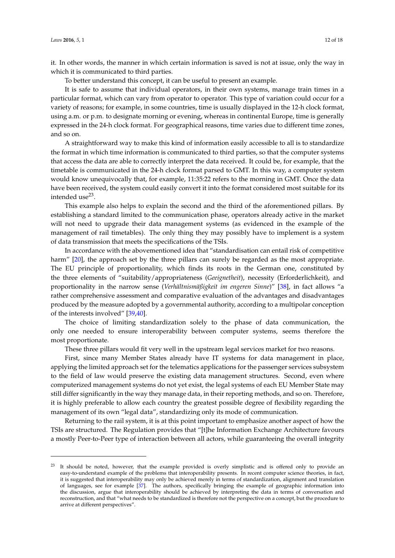it. In other words, the manner in which certain information is saved is not at issue, only the way in which it is communicated to third parties.

To better understand this concept, it can be useful to present an example.

It is safe to assume that individual operators, in their own systems, manage train times in a particular format, which can vary from operator to operator. This type of variation could occur for a variety of reasons; for example, in some countries, time is usually displayed in the 12-h clock format, using a.m. or p.m. to designate morning or evening, whereas in continental Europe, time is generally expressed in the 24-h clock format. For geographical reasons, time varies due to different time zones, and so on.

A straightforward way to make this kind of information easily accessible to all is to standardize the format in which time information is communicated to third parties, so that the computer systems that access the data are able to correctly interpret the data received. It could be, for example, that the timetable is communicated in the 24-h clock format parsed to GMT. In this way, a computer system would know unequivocally that, for example, 11:35:22 refers to the morning in GMT. Once the data have been received, the system could easily convert it into the format considered most suitable for its intended use<sup>23</sup>.

This example also helps to explain the second and the third of the aforementioned pillars. By establishing a standard limited to the communication phase, operators already active in the market will not need to upgrade their data management systems (as evidenced in the example of the management of rail timetables). The only thing they may possibly have to implement is a system of data transmission that meets the specifications of the TSIs.

In accordance with the abovementioned idea that "standardisation can entail risk of competitive harm" [\[20\]](#page-16-14), the approach set by the three pillars can surely be regarded as the most appropriate. The EU principle of proportionality, which finds its roots in the German one, constituted by the three elements of "suitability/appropriateness (*Geeignetheit*), necessity (Erforderlichkeit), and proportionality in the narrow sense (*Verhältnismäßigkeit im engeren Sinne*)" [\[38\]](#page-17-1), in fact allows "a rather comprehensive assessment and comparative evaluation of the advantages and disadvantages produced by the measure adopted by a governmental authority, according to a multipolar conception of the interests involved" [\[39](#page-17-2)[,40\]](#page-17-3).

The choice of limiting standardization solely to the phase of data communication, the only one needed to ensure interoperability between computer systems, seems therefore the most proportionate.

These three pillars would fit very well in the upstream legal services market for two reasons.

First, since many Member States already have IT systems for data management in place, applying the limited approach set for the telematics applications for the passenger services subsystem to the field of law would preserve the existing data management structures. Second, even where computerized management systems do not yet exist, the legal systems of each EU Member State may still differ significantly in the way they manage data, in their reporting methods, and so on. Therefore, it is highly preferable to allow each country the greatest possible degree of flexibility regarding the management of its own "legal data", standardizing only its mode of communication.

Returning to the rail system, it is at this point important to emphasize another aspect of how the TSIs are structured. The Regulation provides that "[t]he Information Exchange Architecture favours a mostly Peer-to-Peer type of interaction between all actors, while guaranteeing the overall integrity

<sup>&</sup>lt;sup>23</sup> It should be noted, however, that the example provided is overly simplistic and is offered only to provide an easy-to-understand example of the problems that interoperability presents. In recent computer science theories, in fact, it is suggested that interoperability may only be achieved merely in terms of standardization, alignment and translation of languages, see for example [\[37\]](#page-17-4). The authors, specifically bringing the example of geographic information into the discussion, argue that interoperability should be achieved by interpreting the data in terms of conversation and reconstruction, and that "what needs to be standardized is therefore not the perspective on a concept, but the procedure to arrive at different perspectives".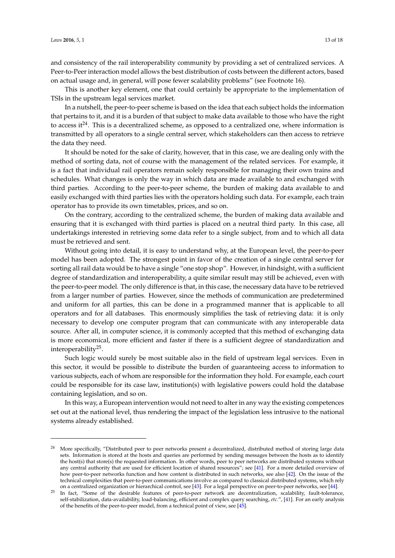and consistency of the rail interoperability community by providing a set of centralized services. A Peer-to-Peer interaction model allows the best distribution of costs between the different actors, based on actual usage and, in general, will pose fewer scalability problems" (see Footnote 16).

This is another key element, one that could certainly be appropriate to the implementation of TSIs in the upstream legal services market.

In a nutshell, the peer-to-peer scheme is based on the idea that each subject holds the information that pertains to it, and it is a burden of that subject to make data available to those who have the right to access it<sup>24</sup>. This is a decentralized scheme, as opposed to a centralized one, where information is transmitted by all operators to a single central server, which stakeholders can then access to retrieve the data they need.

It should be noted for the sake of clarity, however, that in this case, we are dealing only with the method of sorting data, not of course with the management of the related services. For example, it is a fact that individual rail operators remain solely responsible for managing their own trains and schedules. What changes is only the way in which data are made available to and exchanged with third parties. According to the peer-to-peer scheme, the burden of making data available to and easily exchanged with third parties lies with the operators holding such data. For example, each train operator has to provide its own timetables, prices, and so on.

On the contrary, according to the centralized scheme, the burden of making data available and ensuring that it is exchanged with third parties is placed on a neutral third party. In this case, all undertakings interested in retrieving some data refer to a single subject, from and to which all data must be retrieved and sent.

Without going into detail, it is easy to understand why, at the European level, the peer-to-peer model has been adopted. The strongest point in favor of the creation of a single central server for sorting all rail data would be to have a single "one stop shop"*.* However, in hindsight, with a sufficient degree of standardization and interoperability, a quite similar result may still be achieved, even with the peer-to-peer model*.* The only difference is that, in this case, the necessary data have to be retrieved from a larger number of parties. However, since the methods of communication are predetermined and uniform for all parties, this can be done in a programmed manner that is applicable to all operators and for all databases. This enormously simplifies the task of retrieving data: it is only necessary to develop one computer program that can communicate with any interoperable data source. After all, in computer science, it is commonly accepted that this method of exchanging data is more economical, more efficient and faster if there is a sufficient degree of standardization and interoperability<sup>25</sup> .

Such logic would surely be most suitable also in the field of upstream legal services. Even in this sector, it would be possible to distribute the burden of guaranteeing access to information to various subjects, each of whom are responsible for the information they hold. For example, each court could be responsible for its case law, institution(s) with legislative powers could hold the database containing legislation, and so on.

In this way, a European intervention would not need to alter in any way the existing competences set out at the national level, thus rendering the impact of the legislation less intrusive to the national systems already established.

<sup>24</sup> More specifically, "Distributed peer to peer networks present a decentralized, distributed method of storing large data sets. Information is stored at the hosts and queries are performed by sending messages between the hosts as to identify the host(s) that store(s) the requested information. In other words, peer to peer networks are distributed systems without any central authority that are used for efficient location of shared resources"; see [\[41\]](#page-17-5). For a more detailed overview of how peer-to-peer networks function and how content is distributed in such networks, see also [\[42\]](#page-17-6). On the issue of the technical complexities that peer-to-peer communications involve as compared to classical distributed systems, which rely on a centralized organization or hierarchical control, see [\[43\]](#page-17-7). For a legal perspective on peer-to-peer networks, see [\[44\]](#page-17-8).

<sup>&</sup>lt;sup>25</sup> In fact, "Some of the desirable features of peer-to-peer network are decentralization, scalability, fault-tolerance, self-stabilization, data-availability, load-balancing, efficient and complex query searching, *etc.*", [\[41\]](#page-17-5). For an early analysis of the benefits of the peer-to-peer model, from a technical point of view, see [\[45\]](#page-17-9).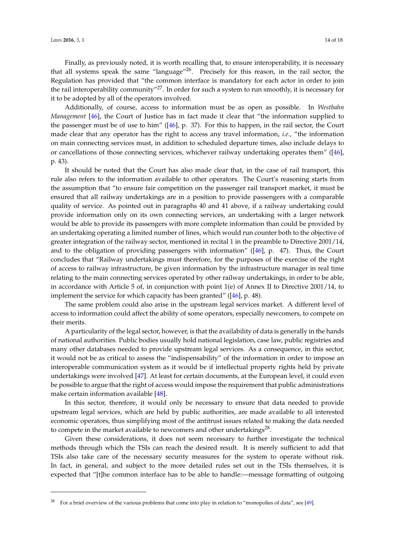Finally, as previously noted, it is worth recalling that, to ensure interoperability, it is necessary that all systems speak the same "language"26. Precisely for this reason, in the rail sector, the Regulation has provided that "the common interface is mandatory for each actor in order to join the rail interoperability community"<sup>27</sup>. In order for such a system to run smoothly, it is necessary for it to be adopted by all of the operators involved.

Additionally, of course, access to information must be as open as possible. In *Westbahn Management* [\[46\]](#page-17-10), the Court of Justice has in fact made it clear that "the information supplied to the passenger must be of use to him" ([\[46\]](#page-17-10), p. 37). For this to happen, in the rail sector, the Court made clear that any operator has the right to access any travel information, *i.e.*, "the information on main connecting services must, in addition to scheduled departure times, also include delays to or cancellations of those connecting services, whichever railway undertaking operates them" ([\[46\]](#page-17-10), p. 43).

It should be noted that the Court has also made clear that, in the case of rail transport, this rule also refers to the information available to other operators. The Court's reasoning starts from the assumption that "to ensure fair competition on the passenger rail transport market, it must be ensured that all railway undertakings are in a position to provide passengers with a comparable quality of service. As pointed out in paragraphs 40 and 41 above, if a railway undertaking could provide information only on its own connecting services, an undertaking with a larger network would be able to provide its passengers with more complete information than could be provided by an undertaking operating a limited number of lines, which would run counter both to the objective of greater integration of the railway sector, mentioned in recital 1 in the preamble to Directive 2001/14, and to the obligation of providing passengers with information" ([\[46\]](#page-17-10), p. 47). Thus, the Court concludes that "Railway undertakings must therefore, for the purposes of the exercise of the right of access to railway infrastructure, be given information by the infrastructure manager in real time relating to the main connecting services operated by other railway undertakings, in order to be able, in accordance with Article 5 of, in conjunction with point 1(e) of Annex II to Directive 2001/14, to implement the service for which capacity has been granted" ([\[46\]](#page-17-10), p. 48).

The same problem could also arise in the upstream legal services market. A different level of access to information could affect the ability of some operators, especially newcomers, to compete on their merits.

A particularity of the legal sector, however, is that the availability of data is generally in the hands of national authorities. Public bodies usually hold national legislation, case law, public registries and many other databases needed to provide upstream legal services. As a consequence, in this sector, it would not be as critical to assess the "indispensability" of the information in order to impose an interoperable communication system as it would be if intellectual property rights held by private undertakings were involved [\[47\]](#page-17-11). At least for certain documents, at the European level, it could even be possible to argue that the right of access would impose the requirement that public administrations make certain information available [\[48\]](#page-17-12).

In this sector, therefore, it would only be necessary to ensure that data needed to provide upstream legal services, which are held by public authorities, are made available to all interested economic operators, thus simplifying most of the antitrust issues related to making the data needed to compete in the market available to newcomers and other undertakings<sup>28</sup>.

Given these considerations, it does not seem necessary to further investigate the technical methods through which the TSIs can reach the desired result. It is merely sufficient to add that TSIs also take care of the necessary security measures for the system to operate without risk. In fact, in general, and subject to the more detailed rules set out in the TSIs themselves, it is expected that "[t]he common interface has to be able to handle:—message formatting of outgoing

<sup>&</sup>lt;sup>28</sup> For a brief overview of the various problems that come into play in relation to "monopolies of data", see [\[49\]](#page-17-13).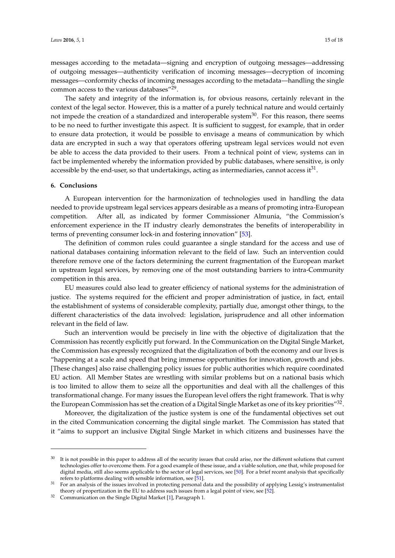messages according to the metadata—signing and encryption of outgoing messages—addressing of outgoing messages—authenticity verification of incoming messages—decryption of incoming messages—conformity checks of incoming messages according to the metadata—handling the single common access to the various databases"<sup>29</sup>.

The safety and integrity of the information is, for obvious reasons, certainly relevant in the context of the legal sector. However, this is a matter of a purely technical nature and would certainly not impede the creation of a standardized and interoperable system<sup>30</sup>. For this reason, there seems to be no need to further investigate this aspect. It is sufficient to suggest, for example, that in order to ensure data protection, it would be possible to envisage a means of communication by which data are encrypted in such a way that operators offering upstream legal services would not even be able to access the data provided to their users. From a technical point of view, systems can in fact be implemented whereby the information provided by public databases, where sensitive, is only accessible by the end-user, so that undertakings, acting as intermediaries, cannot access it $^{31}$ .

#### **6. Conclusions**

A European intervention for the harmonization of technologies used in handling the data needed to provide upstream legal services appears desirable as a means of promoting intra-European competition. After all, as indicated by former Commissioner Almunia, "the Commission's enforcement experience in the IT industry clearly demonstrates the benefits of interoperability in terms of preventing consumer lock-in and fostering innovation" [\[53\]](#page-17-14).

The definition of common rules could guarantee a single standard for the access and use of national databases containing information relevant to the field of law. Such an intervention could therefore remove one of the factors determining the current fragmentation of the European market in upstream legal services, by removing one of the most outstanding barriers to intra-Community competition in this area.

EU measures could also lead to greater efficiency of national systems for the administration of justice. The systems required for the efficient and proper administration of justice, in fact, entail the establishment of systems of considerable complexity, partially due, amongst other things, to the different characteristics of the data involved: legislation, jurisprudence and all other information relevant in the field of law.

Such an intervention would be precisely in line with the objective of digitalization that the Commission has recently explicitly put forward. In the Communication on the Digital Single Market, the Commission has expressly recognized that the digitalization of both the economy and our lives is "happening at a scale and speed that bring immense opportunities for innovation, growth and jobs. [These changes] also raise challenging policy issues for public authorities which require coordinated EU action. All Member States are wrestling with similar problems but on a national basis which is too limited to allow them to seize all the opportunities and deal with all the challenges of this transformational change. For many issues the European level offers the right framework. That is why the European Commission has set the creation of a Digital Single Market as one of its key priorities"<sup>32</sup>.

Moreover, the digitalization of the justice system is one of the fundamental objectives set out in the cited Communication concerning the digital single market. The Commission has stated that it "aims to support an inclusive Digital Single Market in which citizens and businesses have the

<sup>&</sup>lt;sup>30</sup> It is not possible in this paper to address all of the security issues that could arise, nor the different solutions that current technologies offer to overcome them. For a good example of these issue, and a viable solution, one that, while proposed for digital media, still also seems applicable to the sector of legal services, see [\[50\]](#page-17-15). For a brief recent analysis that specifically refers to platforms dealing with sensible information, see [\[51\]](#page-17-16).

<sup>&</sup>lt;sup>31</sup> For an analysis of the issues involved in protecting personal data and the possibility of applying Lessig's instrumentalist theory of propertization in the EU to address such issues from a legal point of view, see [\[52\]](#page-17-17).

 $32$  Communication on the Single Digital Market [\[1\]](#page-15-0), Paragraph 1.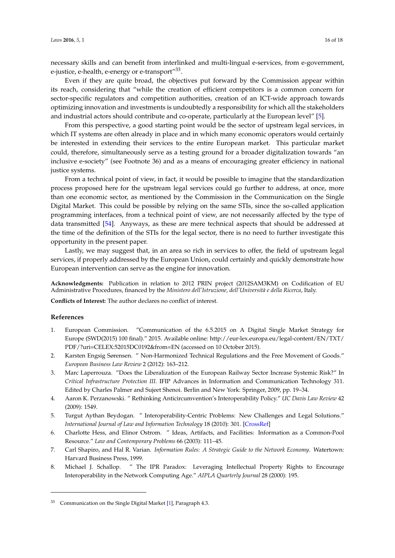necessary skills and can benefit from interlinked and multi-lingual e-services, from e-government, e-justice, e-health, e-energy or e-transport"<sup>33</sup>.

Even if they are quite broad, the objectives put forward by the Commission appear within its reach, considering that "while the creation of efficient competitors is a common concern for sector-specific regulators and competition authorities, creation of an ICT-wide approach towards optimizing innovation and investments is undoubtedly a responsibility for which all the stakeholders and industrial actors should contribute and co-operate, particularly at the European level" [\[5\]](#page-15-4).

From this perspective, a good starting point would be the sector of upstream legal services, in which IT systems are often already in place and in which many economic operators would certainly be interested in extending their services to the entire European market. This particular market could, therefore, simultaneously serve as a testing ground for a broader digitalization towards "an inclusive e-society" (see Footnote 36) and as a means of encouraging greater efficiency in national justice systems.

From a technical point of view, in fact, it would be possible to imagine that the standardization process proposed here for the upstream legal services could go further to address, at once, more than one economic sector, as mentioned by the Commission in the Communication on the Single Digital Market. This could be possible by relying on the same STIs, since the so-called application programming interfaces, from a technical point of view, are not necessarily affected by the type of data transmitted [\[54\]](#page-17-18). Anyways, as these are mere technical aspects that should be addressed at the time of the definition of the STIs for the legal sector, there is no need to further investigate this opportunity in the present paper.

Lastly, we may suggest that, in an area so rich in services to offer, the field of upstream legal services, if properly addressed by the European Union, could certainly and quickly demonstrate how European intervention can serve as the engine for innovation.

**Acknowledgments:** Publication in relation to 2012 PRIN project (2012SAM3KM) on Codification of EU Administrative Procedures, financed by the *Ministero dell'Istruzione, dell'Università e della Ricerca*, Italy.

**Conflicts of Interest:** The author declares no conflict of interest.

### **References**

- <span id="page-15-0"></span>1. European Commission. "Communication of the 6.5.2015 on A Digital Single Market Strategy for Europe (SWD(2015) 100 final)." 2015. Available online: http://eur-lex.europa.eu/legal-content/EN/TXT/ PDF/?uri=CELEX:52015DC0192&from=EN (accessed on 10 October 2015).
- <span id="page-15-1"></span>2. Karsten Engsig Sørensen. " Non-Harmonized Technical Regulations and the Free Movement of Goods." *European Business Law Review* 2 (2012): 163–212.
- <span id="page-15-2"></span>3. Marc Laperrouza. "Does the Liberalization of the European Railway Sector Increase Systemic Risk?" In *Critical Infrastructure Protection III*. IFIP Advances in Information and Communication Technology 311. Edited by Charles Palmer and Sujeet Shenoi. Berlin and New York: Springer, 2009, pp. 19–34.
- <span id="page-15-3"></span>4. Aaron K. Perzanowski. " Rethinking Anticircumvention's Interoperability Policy." *UC Davis Law Review* 42 (2009): 1549.
- <span id="page-15-4"></span>5. Turgut Aythan Beydogan. " Interoperability-Centric Problems: New Challenges and Legal Solutions." *International Journal of Law and Information Technology* 18 (2010): 301. [\[CrossRef\]](http://dx.doi.org/10.1093/ijlit/eaq008)
- <span id="page-15-7"></span>6. Charlotte Hess, and Elinor Ostrom. " Ideas, Artifacts, and Facilities: Information as a Common-Pool Resource." *Law and Contemporary Problems* 66 (2003): 111–45.
- <span id="page-15-5"></span>7. Carl Shapiro, and Hal R. Varian. *Information Rules: A Strategic Guide to the Network Economy*. Watertown: Harvard Business Press, 1999.
- <span id="page-15-6"></span>8. Michael J. Schallop. " The IPR Paradox: Leveraging Intellectual Property Rights to Encourage Interoperability in the Network Computing Age." *AIPLA Quarterly Journal* 28 (2000): 195.

<sup>33</sup> Communication on the Single Digital Market [\[1\]](#page-15-0), Paragraph 4.3.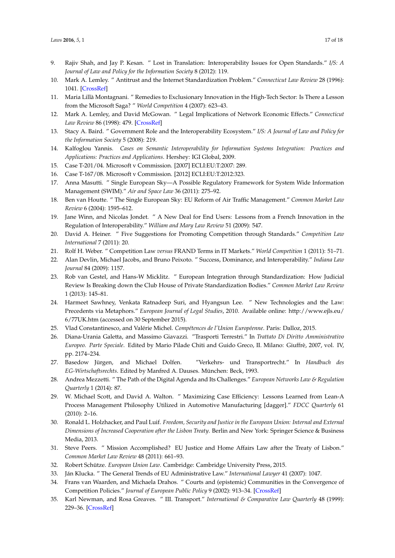- <span id="page-16-8"></span>9. Rajiv Shah, and Jay P. Kesan. " Lost in Translation: Interoperability Issues for Open Standards." *I/S: A Journal of Law and Policy for the Information Society* 8 (2012): 119.
- <span id="page-16-0"></span>10. Mark A. Lemley. " Antitrust and the Internet Standardization Problem." *Connecticut Law Review* 28 (1996): 1041. [\[CrossRef\]](http://dx.doi.org/10.2139/ssrn.44458)
- <span id="page-16-1"></span>11. Maria Lillà Montagnani. " Remedies to Exclusionary Innovation in the High-Tech Sector: Is There a Lesson from the Microsoft Saga? " *World Competition* 4 (2007): 623–43.
- <span id="page-16-2"></span>12. Mark A. Lemley, and David McGowan. " Legal Implications of Network Economic Effects." *Connecticut Law Review* 86 (1998): 479. [\[CrossRef\]](http://dx.doi.org/10.2307/3481119)
- <span id="page-16-3"></span>13. Stacy A. Baird. " Government Role and the Interoperability Ecosystem." *I/S: A Journal of Law and Policy for the Information Society* 5 (2008): 219.
- <span id="page-16-4"></span>14. Kalfoglou Yannis. *Cases on Semantic Interoperability for Information Systems Integration: Practices and Applications: Practices and Applications*. Hershey: IGI Global, 2009.
- <span id="page-16-5"></span>15. Case T-201/04. Microsoft v Commission. [2007] ECLI:EU:T:2007: 289.
- <span id="page-16-9"></span>16. Case T-167/08. Microsoft v Commission. [2012] ECLI:EU:T:2012:323.
- <span id="page-16-6"></span>17. Anna Masutti. " Single European Sky—A Possible Regulatory Framework for System Wide Information Management (SWIM)." *Air and Space Law* 36 (2011): 275–92.
- <span id="page-16-7"></span>18. Ben van Houtte. " The Single European Sky: EU Reform of Air Traffic Management." *Common Market Law Review* 6 (2004): 1595–612.
- <span id="page-16-10"></span>19. Jane Winn, and Nicolas Jondet. " A New Deal for End Users: Lessons from a French Innovation in the Regulation of Interoperability." *William and Mary Law Review* 51 (2009): 547.
- <span id="page-16-14"></span>20. David A. Heiner. " Five Suggestions for Promoting Competition through Standards." *Competition Law International* 7 (2011): 20.
- <span id="page-16-11"></span>21. Rolf H. Weber. " Competition Law *versus* FRAND Terms in IT Markets." *World Competition* 1 (2011): 51–71.
- <span id="page-16-12"></span>22. Alan Devlin, Michael Jacobs, and Bruno Peixoto. " Success, Dominance, and Interoperability." *Indiana Law Journal* 84 (2009): 1157.
- <span id="page-16-13"></span>23. Rob van Gestel, and Hans-W Micklitz. " European Integration through Standardization: How Judicial Review Is Breaking down the Club House of Private Standardization Bodies." *Common Market Law Review* 1 (2013): 145–81.
- <span id="page-16-15"></span>24. Harmeet Sawhney, Venkata Ratnadeep Suri, and Hyangsun Lee. " New Technologies and the Law: Precedents via Metaphors." *European Journal of Legal Studies*, 2010. Available online: http://www.ejls.eu/ 6/77UK.htm (accessed on 30 September 2015).
- <span id="page-16-16"></span>25. Vlad Constantinesco, and Valérie Michel. *Compétences de l'Union Européenne*. Paris: Dalloz, 2015.
- <span id="page-16-17"></span>26. Diana-Urania Galetta, and Massimo Giavazzi. "Trasporti Terrestri." In *Trattato Di Diritto Amministrativo Europeo. Parte Speciale*. Edited by Mario Pilade Chiti and Guido Greco, II. Milano: Giuffrè, 2007, vol. IV, pp. 2174–234.
- <span id="page-16-18"></span>27. Basedow Jürgen, and Michael Dolfen. "Verkehrs- und Transportrecht." In *Handbuch des EG-Wirtschaftsrechts*. Edited by Manfred A. Dauses. München: Beck, 1993.
- <span id="page-16-19"></span>28. Andrea Mezzetti. " The Path of the Digital Agenda and Its Challenges." *European Networks Law & Regulation Quarterly* 1 (2014): 87.
- <span id="page-16-20"></span>29. W. Michael Scott, and David A. Walton. " Maximizing Case Efficiency: Lessons Learned from Lean-A Process Management Philosophy Utilized in Automotive Manufacturing [dagger]." *FDCC Quarterly* 61 (2010): 2–16.
- <span id="page-16-21"></span>30. Ronald L. Holzhacker, and Paul Luif. *Freedom, Security and Justice in the European Union: Internal and External Dimensions of Increased Cooperation after the Lisbon Treaty*. Berlin and New York: Springer Science & Business Media, 2013.
- <span id="page-16-22"></span>31. Steve Peers. " Mission Accomplished? EU Justice and Home Affairs Law after the Treaty of Lisbon." *Common Market Law Review* 48 (2011): 661–93.
- <span id="page-16-23"></span>32. Robert Schütze. *European Union Law*. Cambridge: Cambridge University Press, 2015.
- 33. Ján Klucka. " The General Trends of EU Administrative Law." *International Lawyer* 41 (2007): 1047.
- 34. Frans van Waarden, and Michaela Drahos. " Courts and (epistemic) Communities in the Convergence of Competition Policies." *Journal of European Public Policy* 9 (2002): 913–34. [\[CrossRef\]](http://dx.doi.org/10.1080/1350176022000046427)
- <span id="page-16-24"></span>35. Karl Newman, and Rosa Greaves. " III. Transport." *International & Comparative Law Quarterly* 48 (1999): 229–36. [\[CrossRef\]](http://dx.doi.org/10.1017/S0020589300062990)